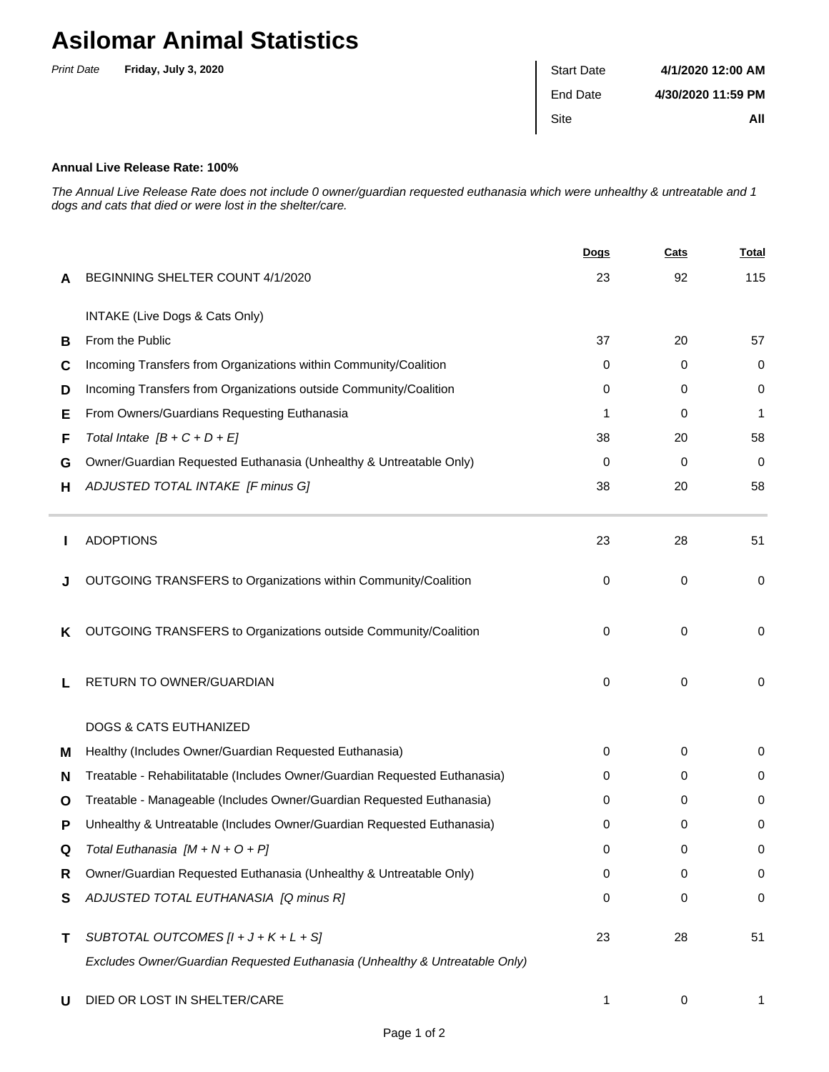## **Asilomar Animal Statistics**

| <b>Print Date</b> | Friday, July 3, 2020 | <b>Start Date</b> | 4/1/2020 12:00 AM  |
|-------------------|----------------------|-------------------|--------------------|
|                   |                      | End Date          | 4/30/2020 11:59 PM |
|                   |                      | Site              | All                |

## **Annual Live Release Rate: 100%**

The Annual Live Release Rate does not include 0 owner/guardian requested euthanasia which were unhealthy & untreatable and 1 dogs and cats that died or were lost in the shelter/care.

|   |                                                                             | <b>Dogs</b> | Cats        | <b>Total</b> |
|---|-----------------------------------------------------------------------------|-------------|-------------|--------------|
| A | BEGINNING SHELTER COUNT 4/1/2020                                            | 23          | 92          | 115          |
|   | INTAKE (Live Dogs & Cats Only)                                              |             |             |              |
| В | From the Public                                                             | 37          | 20          | 57           |
| С | Incoming Transfers from Organizations within Community/Coalition            | $\Omega$    | 0           | 0            |
| D | Incoming Transfers from Organizations outside Community/Coalition           | $\Omega$    | 0           | 0            |
| Е | From Owners/Guardians Requesting Euthanasia                                 | 1           | 0           | 1            |
| F | Total Intake $[B + C + D + E]$                                              | 38          | 20          | 58           |
| G | Owner/Guardian Requested Euthanasia (Unhealthy & Untreatable Only)          | $\Omega$    | 0           | 0            |
| н | ADJUSTED TOTAL INTAKE [F minus G]                                           | 38          | 20          | 58           |
|   | <b>ADOPTIONS</b>                                                            | 23          | 28          | 51           |
|   | OUTGOING TRANSFERS to Organizations within Community/Coalition              | 0           | $\mathbf 0$ | 0            |
| ĸ | OUTGOING TRANSFERS to Organizations outside Community/Coalition             | $\Omega$    | 0           | 0            |
|   | RETURN TO OWNER/GUARDIAN                                                    | 0           | 0           | 0            |
|   | <b>DOGS &amp; CATS EUTHANIZED</b>                                           |             |             |              |
| м | Healthy (Includes Owner/Guardian Requested Euthanasia)                      | 0           | 0           | 0            |
| N | Treatable - Rehabilitatable (Includes Owner/Guardian Requested Euthanasia)  | 0           | 0           | 0            |
| O | Treatable - Manageable (Includes Owner/Guardian Requested Euthanasia)       | 0           | 0           | 0            |
| Р | Unhealthy & Untreatable (Includes Owner/Guardian Requested Euthanasia)      | 0           | 0           | 0            |
| Q | Total Euthanasia $[M + N + O + P]$                                          | 0           | 0           | 0            |
| R | Owner/Guardian Requested Euthanasia (Unhealthy & Untreatable Only)          | 0           | 0           | 0            |
| S | ADJUSTED TOTAL EUTHANASIA [Q minus R]                                       | 0           | 0           | $\pmb{0}$    |
| Τ | SUBTOTAL OUTCOMES $[l + J + K + L + S]$                                     | 23          | 28          | 51           |
|   | Excludes Owner/Guardian Requested Euthanasia (Unhealthy & Untreatable Only) |             |             |              |
| U | DIED OR LOST IN SHELTER/CARE                                                | 1           | 0           | 1            |